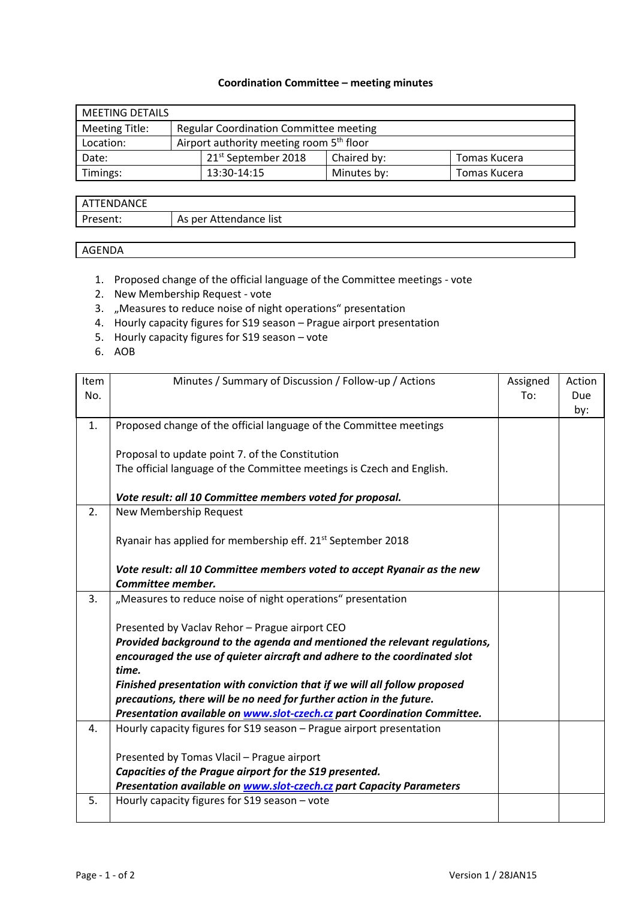## **Coordination Committee – meeting minutes**

| <b>MEETING DETAILS</b> |  |                                                      |             |              |  |  |  |
|------------------------|--|------------------------------------------------------|-------------|--------------|--|--|--|
| Meeting Title:         |  | <b>Regular Coordination Committee meeting</b>        |             |              |  |  |  |
| Location:              |  | Airport authority meeting room 5 <sup>th</sup> floor |             |              |  |  |  |
| Date:                  |  | 21 <sup>st</sup> September 2018                      | Chaired by: | Tomas Kucera |  |  |  |
| Timings:               |  | 13:30-14:15                                          | Minutes by: | Tomas Kucera |  |  |  |

| <b>DANCE</b><br>FNI |                                |
|---------------------|--------------------------------|
| esent.              | Attendance list<br>As per<br>v |

## AGENDA

- 1. Proposed change of the official language of the Committee meetings vote
- 2. New Membership Request vote
- 3. "Measures to reduce noise of night operations" presentation
- 4. Hourly capacity figures for S19 season Prague airport presentation
- 5. Hourly capacity figures for S19 season vote
- 6. AOB

| Item<br>No. | Minutes / Summary of Discussion / Follow-up / Actions                                                                                                                                                                                                                                                                                                                                                                                                                                                                      | Assigned<br>To: | Action<br>Due<br>by: |
|-------------|----------------------------------------------------------------------------------------------------------------------------------------------------------------------------------------------------------------------------------------------------------------------------------------------------------------------------------------------------------------------------------------------------------------------------------------------------------------------------------------------------------------------------|-----------------|----------------------|
| 1.          | Proposed change of the official language of the Committee meetings                                                                                                                                                                                                                                                                                                                                                                                                                                                         |                 |                      |
|             | Proposal to update point 7. of the Constitution<br>The official language of the Committee meetings is Czech and English.                                                                                                                                                                                                                                                                                                                                                                                                   |                 |                      |
|             | Vote result: all 10 Committee members voted for proposal.                                                                                                                                                                                                                                                                                                                                                                                                                                                                  |                 |                      |
| 2.          | New Membership Request                                                                                                                                                                                                                                                                                                                                                                                                                                                                                                     |                 |                      |
|             | Ryanair has applied for membership eff. 21 <sup>st</sup> September 2018                                                                                                                                                                                                                                                                                                                                                                                                                                                    |                 |                      |
|             | Vote result: all 10 Committee members voted to accept Ryanair as the new<br>Committee member.                                                                                                                                                                                                                                                                                                                                                                                                                              |                 |                      |
| 3.          | "Measures to reduce noise of night operations" presentation                                                                                                                                                                                                                                                                                                                                                                                                                                                                |                 |                      |
| 4.          | Presented by Vaclav Rehor - Prague airport CEO<br>Provided background to the agenda and mentioned the relevant regulations,<br>encouraged the use of quieter aircraft and adhere to the coordinated slot<br>time.<br>Finished presentation with conviction that if we will all follow proposed<br>precautions, there will be no need for further action in the future.<br>Presentation available on www.slot-czech.cz part Coordination Committee.<br>Hourly capacity figures for S19 season - Prague airport presentation |                 |                      |
|             |                                                                                                                                                                                                                                                                                                                                                                                                                                                                                                                            |                 |                      |
|             | Presented by Tomas Vlacil - Prague airport                                                                                                                                                                                                                                                                                                                                                                                                                                                                                 |                 |                      |
|             | Capacities of the Prague airport for the S19 presented.                                                                                                                                                                                                                                                                                                                                                                                                                                                                    |                 |                      |
|             | Presentation available on <b>www.slot-czech.cz</b> part Capacity Parameters                                                                                                                                                                                                                                                                                                                                                                                                                                                |                 |                      |
| 5.          | Hourly capacity figures for S19 season - vote                                                                                                                                                                                                                                                                                                                                                                                                                                                                              |                 |                      |